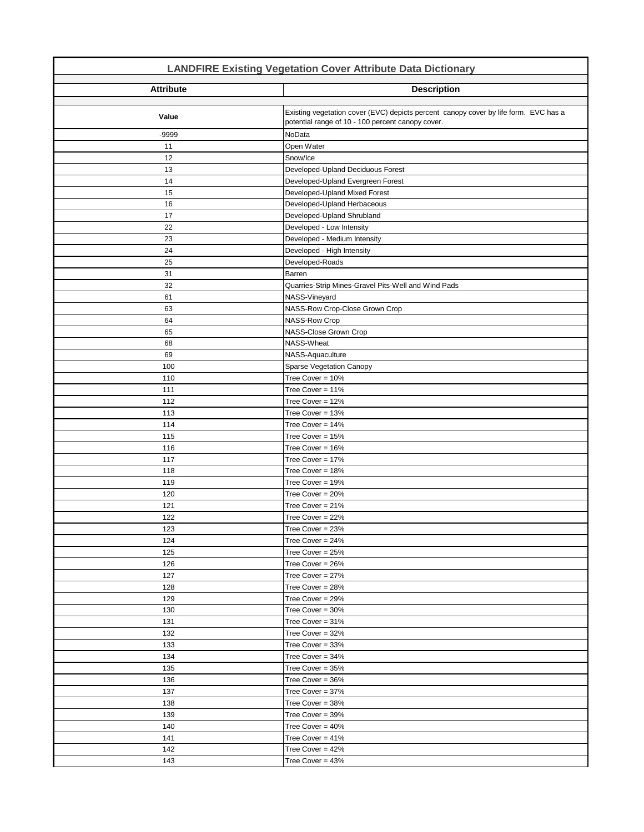| <b>LANDFIRE Existing Vegetation Cover Attribute Data Dictionary</b> |                                                                                                                                           |
|---------------------------------------------------------------------|-------------------------------------------------------------------------------------------------------------------------------------------|
| <b>Attribute</b>                                                    | <b>Description</b>                                                                                                                        |
| Value                                                               | Existing vegetation cover (EVC) depicts percent canopy cover by life form. EVC has a<br>potential range of 10 - 100 percent canopy cover. |
| -9999                                                               | NoData                                                                                                                                    |
| 11                                                                  | Open Water                                                                                                                                |
| 12                                                                  | Snow/Ice                                                                                                                                  |
| 13                                                                  | Developed-Upland Deciduous Forest                                                                                                         |
| 14                                                                  | Developed-Upland Evergreen Forest                                                                                                         |
| 15                                                                  | Developed-Upland Mixed Forest                                                                                                             |
| 16                                                                  | Developed-Upland Herbaceous                                                                                                               |
| 17                                                                  | Developed-Upland Shrubland                                                                                                                |
| 22                                                                  | Developed - Low Intensity                                                                                                                 |
| 23                                                                  | Developed - Medium Intensity                                                                                                              |
| 24                                                                  | Developed - High Intensity                                                                                                                |
| 25                                                                  | Developed-Roads                                                                                                                           |
| 31                                                                  | Barren                                                                                                                                    |
| 32                                                                  | Quarries-Strip Mines-Gravel Pits-Well and Wind Pads                                                                                       |
| 61                                                                  | NASS-Vineyard                                                                                                                             |
| 63                                                                  | NASS-Row Crop-Close Grown Crop                                                                                                            |
| 64                                                                  | NASS-Row Crop                                                                                                                             |
| 65                                                                  | NASS-Close Grown Crop                                                                                                                     |
| 68                                                                  | NASS-Wheat                                                                                                                                |
| 69                                                                  | NASS-Aquaculture                                                                                                                          |
| 100                                                                 | Sparse Vegetation Canopy                                                                                                                  |
| 110                                                                 | Tree Cover = $10\%$                                                                                                                       |
| 111                                                                 | Tree Cover = 11%                                                                                                                          |
| 112                                                                 | Tree Cover = $12%$                                                                                                                        |
| 113                                                                 | Tree Cover = 13%                                                                                                                          |
| 114                                                                 | Tree Cover = 14%                                                                                                                          |
| 115                                                                 | Tree Cover = $15%$                                                                                                                        |
| 116                                                                 | Tree Cover = 16%                                                                                                                          |
| 117                                                                 | Tree Cover = 17%                                                                                                                          |
| 118                                                                 | Tree Cover = 18%                                                                                                                          |
| 119                                                                 | Tree Cover = 19%                                                                                                                          |
| 120                                                                 | Tree Cover = 20%                                                                                                                          |
| 121                                                                 | Tree Cover = 21%                                                                                                                          |
| 122                                                                 | Tree Cover = 22%                                                                                                                          |
| 123                                                                 | Tree Cover = 23%                                                                                                                          |
| 124                                                                 | Tree Cover = $24%$                                                                                                                        |
| 125                                                                 | Tree Cover = $25%$                                                                                                                        |
| 126                                                                 | Tree Cover = $26%$                                                                                                                        |
| 127                                                                 | Tree Cover = $27%$                                                                                                                        |
| 128                                                                 | Tree Cover = $28%$                                                                                                                        |
| 129                                                                 | Tree Cover = 29%                                                                                                                          |
| 130                                                                 | Tree Cover = $30\%$                                                                                                                       |
| 131                                                                 | Tree Cover = $31\%$                                                                                                                       |
| 132                                                                 | Tree Cover = $32%$                                                                                                                        |
| 133                                                                 | Tree Cover = 33%                                                                                                                          |
| 134                                                                 | Tree Cover = $34%$                                                                                                                        |
| 135                                                                 | Tree Cover = $35%$                                                                                                                        |
| 136                                                                 | Tree Cover = 36%                                                                                                                          |
| 137                                                                 | Tree Cover = 37%                                                                                                                          |
| 138                                                                 | Tree Cover = 38%                                                                                                                          |
| 139                                                                 | Tree Cover = 39%                                                                                                                          |
| 140                                                                 | Tree Cover = $40\%$                                                                                                                       |
| 141                                                                 | Tree Cover = $41\%$                                                                                                                       |
| 142                                                                 | Tree Cover = $42%$                                                                                                                        |
| 143                                                                 | Tree Cover = $43%$                                                                                                                        |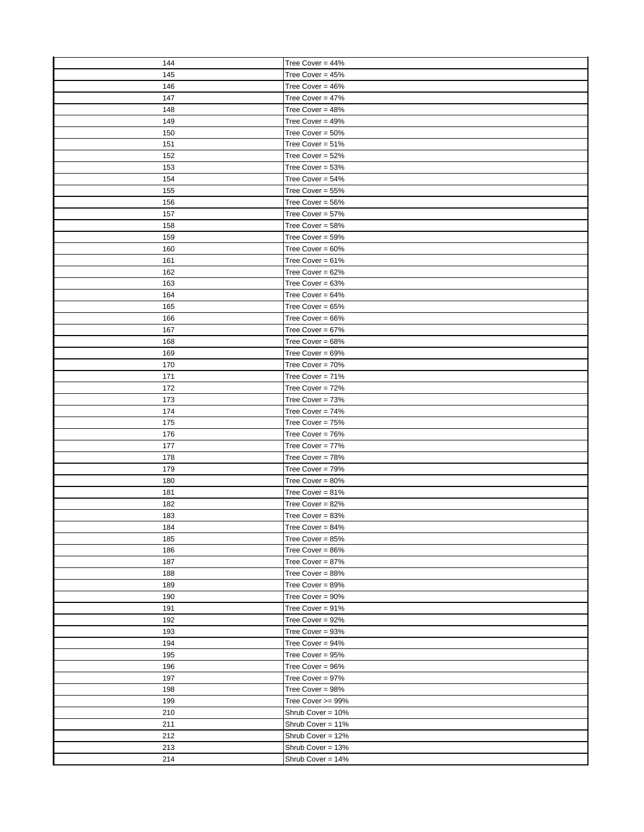| 144        | Tree Cover = 44%                        |
|------------|-----------------------------------------|
| 145        | Tree Cover = $45%$                      |
| 146        | Tree Cover = $46%$                      |
| 147        | Tree Cover = $47%$                      |
| 148        | Tree Cover = $48%$                      |
| 149        | Tree Cover = $49%$                      |
| 150        | Tree Cover = $50\%$                     |
| 151        | Tree Cover = $51\%$                     |
| 152        | Tree Cover = 52%                        |
| 153        | Tree Cover = 53%                        |
| 154        | Tree Cover = $54%$                      |
| 155        | Tree Cover = 55%                        |
| 156        | Tree Cover = $56%$                      |
| 157        | Tree Cover = 57%                        |
| 158        | Tree Cover = 58%                        |
| 159        | Tree Cover = 59%                        |
| 160        | Tree Cover = $60\%$                     |
| 161        | Tree Cover = $61\%$                     |
| 162        | Tree Cover = $62%$                      |
| 163        | Tree Cover = $63%$                      |
| 164        | Tree Cover = $64%$                      |
| 165        | Tree Cover = $65%$                      |
| 166        | Tree Cover = $66%$                      |
| 167        | Tree Cover = $67%$                      |
| 168        | Tree Cover = 68%                        |
| 169        | Tree Cover = $69\%$                     |
| 170        | Tree Cover = 70%                        |
| 171        | Tree Cover = 71%                        |
| 172        | Tree Cover = 72%                        |
| 173        | Tree Cover = 73%                        |
| 174        | Tree Cover = $74%$                      |
| 175        | Tree Cover = 75%                        |
| 176        | Tree Cover = 76%                        |
| 177        | Tree Cover = 77%                        |
| 178        | Tree Cover = 78%                        |
| 179        | Tree Cover = $79%$                      |
| 180        | Tree Cover = $80\%$                     |
| 181        | Tree Cover = $81\%$                     |
| 182        | Tree Cover = $82%$                      |
| 183        | Tree Cover = $83%$                      |
| 184        | Tree Cover = 84%                        |
|            | Tree Cover = 85%                        |
| 185        | Tree Cover = $86%$                      |
| 186<br>187 | Tree Cover = $87%$                      |
| 188        | Tree Cover = $88%$                      |
| 189        | Tree Cover = 89%                        |
|            | Tree Cover = $90\%$                     |
| 190        |                                         |
| 191<br>192 | Tree Cover = 91%<br>Tree Cover = $92\%$ |
|            |                                         |
| 193        | Tree Cover = 93%                        |
| 194        | Tree Cover = $94\%$                     |
| 195        | Tree Cover = 95%                        |
| 196        | Tree Cover = 96%                        |
| 197        | Tree Cover = 97%                        |
| 198        | Tree Cover = 98%                        |
| 199        | Tree Cover >= 99%                       |
| 210        | Shrub Cover = 10%                       |
| 211        | Shrub Cover = 11%                       |
| 212        | Shrub Cover = 12%                       |
| 213        | Shrub Cover = 13%                       |
| 214        | Shrub Cover = 14%                       |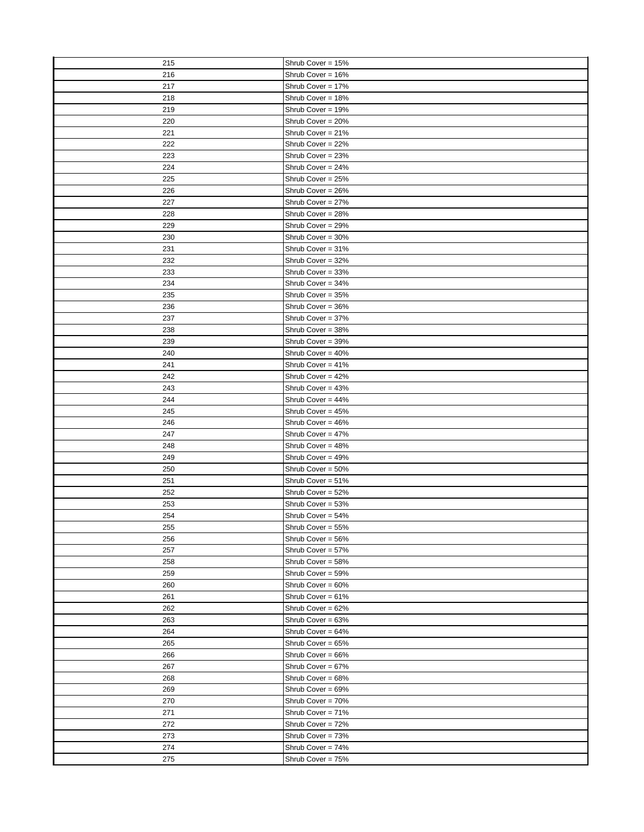| 215        | Shrub Cover = 15%                      |
|------------|----------------------------------------|
| 216        | Shrub Cover = 16%                      |
| 217        | Shrub Cover = 17%                      |
| 218        | Shrub Cover = 18%                      |
| 219        | Shrub Cover = 19%                      |
| 220        | Shrub Cover = 20%                      |
| 221        | Shrub Cover = 21%                      |
| 222        | Shrub Cover = 22%                      |
| 223        | Shrub Cover = 23%                      |
| 224        | Shrub Cover = 24%                      |
| 225        | Shrub Cover = 25%                      |
| 226        | Shrub Cover = 26%                      |
| 227        | Shrub Cover = 27%                      |
| 228        | Shrub Cover = 28%                      |
| 229        | Shrub Cover = 29%                      |
| 230        | Shrub Cover = 30%                      |
| 231        | Shrub Cover = 31%                      |
| 232        | Shrub Cover = 32%                      |
| 233        | Shrub Cover = 33%                      |
| 234        | Shrub Cover = 34%                      |
| 235        | Shrub Cover = 35%                      |
| 236        | Shrub Cover = 36%                      |
| 237        | Shrub Cover = 37%                      |
| 238        | Shrub Cover = 38%                      |
| 239        | Shrub Cover = 39%                      |
| 240        | Shrub Cover = 40%                      |
| 241        | Shrub Cover = 41%                      |
| 242        |                                        |
| 243        | Shrub Cover = 42%                      |
| 244        | Shrub Cover = 43%                      |
|            | Shrub Cover = $44\%$                   |
| 245        | Shrub Cover = 45%<br>Shrub Cover = 46% |
| 246<br>247 | Shrub Cover = 47%                      |
| 248        | Shrub Cover = 48%                      |
| 249        |                                        |
|            | Shrub Cover = 49%                      |
| 250<br>251 | Shrub Cover = 50%<br>Shrub Cover = 51% |
|            |                                        |
| 252        | Shrub Cover = 52%<br>Shrub Cover = 53% |
| 253        |                                        |
| 254        | Shrub Cover = 54%                      |
| 255        | Shrub Cover = 55%                      |
| 256        | Shrub Cover = 56%                      |
| 257        | Shrub Cover = 57%                      |
| 258        | Shrub Cover = 58%                      |
| 259        | Shrub Cover = 59%                      |
| 260        | Shrub Cover = 60%                      |
| 261        | Shrub Cover = 61%                      |
| 262        | Shrub Cover = 62%                      |
| 263        | Shrub Cover = 63%                      |
| 264        | Shrub Cover = 64%                      |
| 265        | Shrub Cover = 65%                      |
| 266        | Shrub Cover = 66%                      |
| 267        | Shrub Cover = 67%                      |
| 268        | Shrub Cover = 68%                      |
| 269        | Shrub Cover = 69%                      |
| 270        | Shrub Cover = 70%                      |
| 271        | Shrub Cover = 71%                      |
| 272        | Shrub Cover = 72%                      |
| 273        | Shrub Cover = 73%                      |
| 274        | Shrub Cover = 74%                      |
| 275        | Shrub Cover = 75%                      |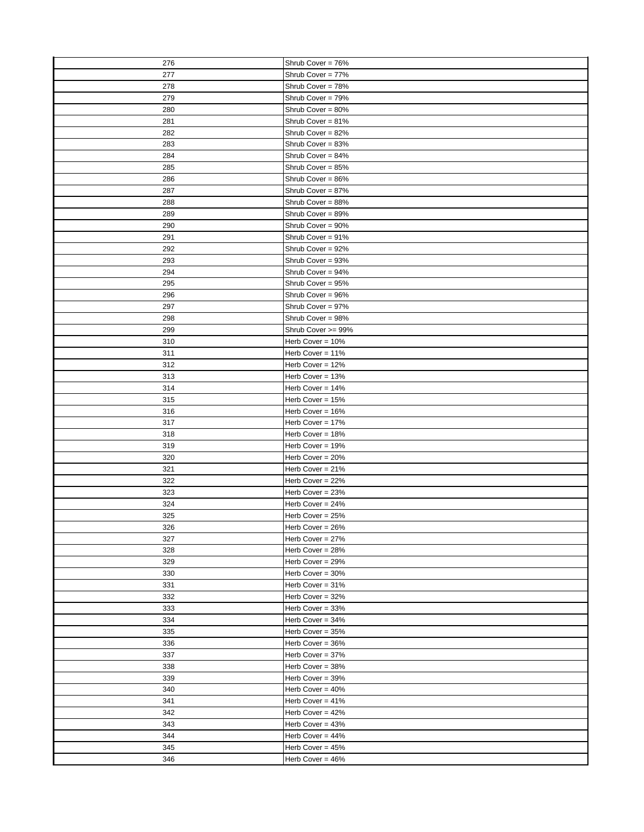| 276 | Shrub Cover = 76%   |
|-----|---------------------|
| 277 | Shrub Cover = 77%   |
| 278 | Shrub Cover = 78%   |
| 279 | Shrub Cover = 79%   |
| 280 | Shrub Cover = 80%   |
| 281 | Shrub Cover = 81%   |
| 282 | Shrub Cover = 82%   |
| 283 | Shrub Cover = 83%   |
| 284 | Shrub Cover = 84%   |
| 285 | Shrub Cover = 85%   |
| 286 | Shrub Cover = 86%   |
| 287 | Shrub Cover = 87%   |
| 288 | Shrub Cover = 88%   |
| 289 | Shrub Cover = 89%   |
| 290 | Shrub Cover = 90%   |
| 291 | Shrub Cover = 91%   |
| 292 | Shrub Cover = 92%   |
| 293 | Shrub Cover = 93%   |
| 294 | Shrub Cover = 94%   |
| 295 | Shrub Cover = 95%   |
|     |                     |
| 296 | Shrub Cover = 96%   |
| 297 | Shrub Cover = 97%   |
| 298 | Shrub Cover = 98%   |
| 299 | Shrub Cover >= 99%  |
| 310 | Herb Cover = $10\%$ |
| 311 | Herb Cover = 11%    |
| 312 | Herb Cover = $12\%$ |
| 313 | Herb Cover = $13%$  |
| 314 | Herb Cover = $14%$  |
| 315 | Herb Cover = $15%$  |
| 316 | Herb Cover = 16%    |
| 317 | Herb Cover = 17%    |
| 318 | Herb Cover = 18%    |
| 319 | Herb Cover = $19%$  |
| 320 | Herb Cover = $20%$  |
| 321 | Herb Cover = $21%$  |
| 322 | Herb Cover = 22%    |
| 323 | Herb Cover = $23%$  |
| 324 | Herb Cover = 24%    |
| 325 | Herb Cover = $25%$  |
| 326 | Herb Cover = 26%    |
| 327 | Herb Cover = 27%    |
| 328 | Herb Cover = $28%$  |
| 329 | Herb Cover = $29%$  |
| 330 | Herb Cover = 30%    |
| 331 | Herb Cover = 31%    |
| 332 | Herb Cover = 32%    |
| 333 | Herb Cover = $33%$  |
| 334 | Herb Cover = 34%    |
| 335 | Herb Cover = 35%    |
| 336 | Herb Cover = 36%    |
| 337 | Herb Cover = 37%    |
| 338 | Herb Cover = 38%    |
| 339 | Herb Cover = 39%    |
| 340 | Herb Cover = $40\%$ |
| 341 | Herb Cover = $41\%$ |
| 342 | Herb Cover = 42%    |
| 343 | Herb Cover = 43%    |
| 344 | Herb Cover = 44%    |
| 345 | Herb Cover = 45%    |
| 346 | Herb Cover = 46%    |
|     |                     |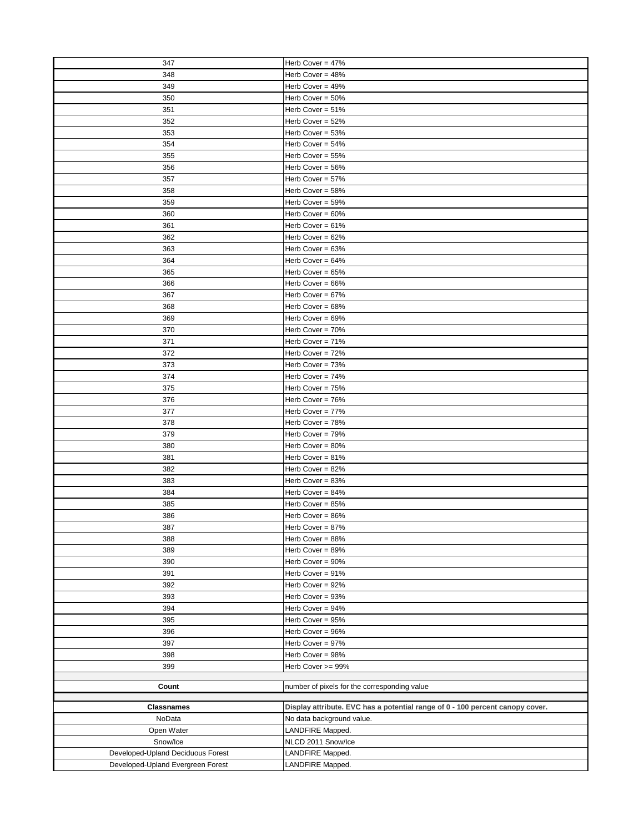| 347                               | Herb Cover = 47%                                                              |
|-----------------------------------|-------------------------------------------------------------------------------|
| 348                               | Herb Cover = 48%                                                              |
| 349                               | Herb Cover = $49%$                                                            |
| 350                               | Herb Cover = $50\%$                                                           |
| 351                               | Herb Cover = $51\%$                                                           |
| 352                               | Herb Cover = 52%                                                              |
| 353                               | Herb Cover = $53%$                                                            |
| 354                               | Herb Cover = $54\%$                                                           |
| 355                               | Herb Cover = 55%                                                              |
| 356                               | Herb Cover = 56%                                                              |
| 357                               | Herb Cover = 57%                                                              |
| 358                               | Herb Cover = 58%                                                              |
| 359                               | Herb Cover = $59\%$                                                           |
| 360                               | Herb Cover = $60\%$                                                           |
| 361                               | Herb Cover = $61\%$                                                           |
|                                   |                                                                               |
| 362                               | Herb Cover = $62%$                                                            |
| 363                               | Herb Cover = $63%$                                                            |
| 364                               | Herb Cover = $64%$                                                            |
| 365                               | Herb Cover = $65%$                                                            |
| 366                               | Herb Cover = 66%                                                              |
| 367                               | Herb Cover = $67%$                                                            |
| 368                               | Herb Cover = 68%                                                              |
| 369                               | Herb Cover = 69%                                                              |
| 370                               | Herb Cover = 70%                                                              |
| 371                               | Herb Cover = 71%                                                              |
| 372                               | Herb Cover = 72%                                                              |
| 373                               | Herb Cover = 73%                                                              |
| 374                               | Herb Cover = $74%$                                                            |
| 375                               | Herb Cover = 75%                                                              |
| 376                               | Herb Cover = 76%                                                              |
| 377                               | Herb Cover = 77%                                                              |
| 378                               | Herb Cover = 78%                                                              |
| 379                               | Herb Cover = 79%                                                              |
| 380                               | Herb Cover = $80\%$                                                           |
| 381                               | Herb Cover = $81\%$                                                           |
| 382                               | Herb Cover = $82%$                                                            |
| 383                               | Herb Cover = 83%                                                              |
| 384                               | Herb Cover = $84%$                                                            |
| 385                               | Herb Cover = $85%$                                                            |
| 386                               | Herb Cover = 86%                                                              |
| 387                               | Herb Cover = 87%                                                              |
| 388                               | Herb Cover = 88%                                                              |
| 389                               | Herb Cover = 89%                                                              |
| 390                               | Herb Cover = 90%                                                              |
| 391                               | Herb Cover = 91%                                                              |
| 392                               |                                                                               |
|                                   | Herb Cover = 92%                                                              |
| 393                               | Herb Cover = 93%                                                              |
| 394                               | Herb Cover = 94%                                                              |
| 395                               | Herb Cover = 95%                                                              |
| 396                               | Herb Cover = 96%                                                              |
| 397                               | Herb Cover = 97%                                                              |
| 398                               | Herb Cover = 98%                                                              |
| 399                               | Herb Cover >= 99%                                                             |
| Count                             |                                                                               |
|                                   | number of pixels for the corresponding value                                  |
| <b>Classnames</b>                 | Display attribute. EVC has a potential range of 0 - 100 percent canopy cover. |
| NoData                            | No data background value.                                                     |
| Open Water                        | LANDFIRE Mapped.                                                              |
| Snow/Ice                          | NLCD 2011 Snow/Ice                                                            |
| Developed-Upland Deciduous Forest | LANDFIRE Mapped.                                                              |
| Developed-Upland Evergreen Forest |                                                                               |
|                                   | LANDFIRE Mapped.                                                              |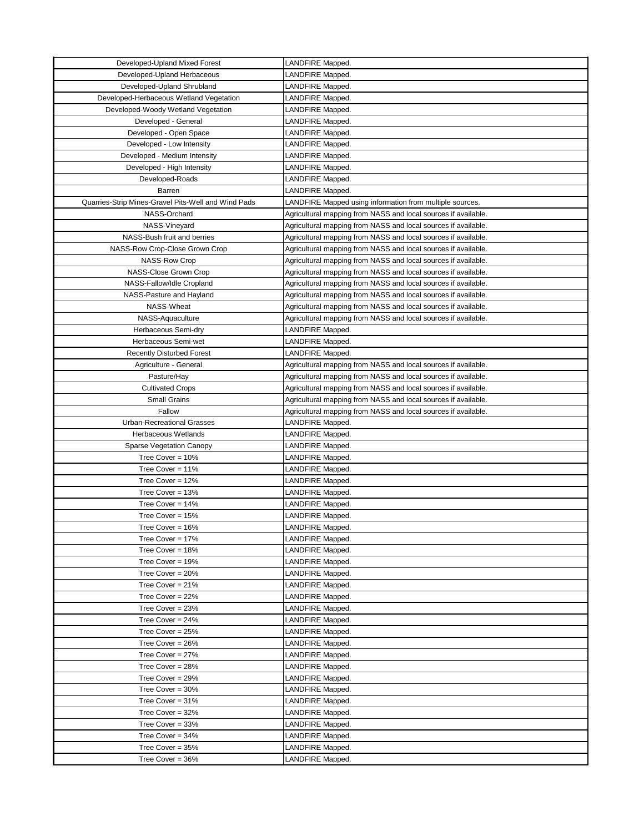| Developed-Upland Mixed Forest                       | LANDFIRE Mapped.                                                                                                                 |
|-----------------------------------------------------|----------------------------------------------------------------------------------------------------------------------------------|
| Developed-Upland Herbaceous                         | LANDFIRE Mapped.                                                                                                                 |
| Developed-Upland Shrubland                          | LANDFIRE Mapped.                                                                                                                 |
| Developed-Herbaceous Wetland Vegetation             | LANDFIRE Mapped.                                                                                                                 |
| Developed-Woody Wetland Vegetation                  | LANDFIRE Mapped.                                                                                                                 |
| Developed - General                                 | LANDFIRE Mapped.                                                                                                                 |
| Developed - Open Space                              | LANDFIRE Mapped.                                                                                                                 |
| Developed - Low Intensity                           | LANDFIRE Mapped.                                                                                                                 |
| Developed - Medium Intensity                        | LANDFIRE Mapped.                                                                                                                 |
| Developed - High Intensity                          | LANDFIRE Mapped.                                                                                                                 |
| Developed-Roads                                     | LANDFIRE Mapped.                                                                                                                 |
| Barren                                              | LANDFIRE Mapped.                                                                                                                 |
| Quarries-Strip Mines-Gravel Pits-Well and Wind Pads | LANDFIRE Mapped using information from multiple sources.                                                                         |
| NASS-Orchard                                        | Agricultural mapping from NASS and local sources if available.                                                                   |
| NASS-Vineyard                                       | Agricultural mapping from NASS and local sources if available.                                                                   |
| NASS-Bush fruit and berries                         | Agricultural mapping from NASS and local sources if available.                                                                   |
| NASS-Row Crop-Close Grown Crop                      | Agricultural mapping from NASS and local sources if available.                                                                   |
| <b>NASS-Row Crop</b>                                |                                                                                                                                  |
|                                                     | Agricultural mapping from NASS and local sources if available.                                                                   |
| NASS-Close Grown Crop<br>NASS-Fallow/Idle Cropland  | Agricultural mapping from NASS and local sources if available.<br>Agricultural mapping from NASS and local sources if available. |
|                                                     |                                                                                                                                  |
| NASS-Pasture and Hayland                            | Agricultural mapping from NASS and local sources if available.                                                                   |
| NASS-Wheat                                          | Agricultural mapping from NASS and local sources if available.                                                                   |
| NASS-Aquaculture                                    | Agricultural mapping from NASS and local sources if available.                                                                   |
| Herbaceous Semi-dry                                 | LANDFIRE Mapped.                                                                                                                 |
| Herbaceous Semi-wet                                 | LANDFIRE Mapped.                                                                                                                 |
| <b>Recently Disturbed Forest</b>                    | LANDFIRE Mapped.                                                                                                                 |
| Agriculture - General                               | Agricultural mapping from NASS and local sources if available.                                                                   |
| Pasture/Hay                                         | Agricultural mapping from NASS and local sources if available.                                                                   |
| <b>Cultivated Crops</b>                             | Agricultural mapping from NASS and local sources if available.                                                                   |
| <b>Small Grains</b>                                 | Agricultural mapping from NASS and local sources if available.                                                                   |
| Fallow                                              | Agricultural mapping from NASS and local sources if available.                                                                   |
| <b>Urban-Recreational Grasses</b>                   | LANDFIRE Mapped.                                                                                                                 |
| Herbaceous Wetlands                                 | LANDFIRE Mapped.                                                                                                                 |
| Sparse Vegetation Canopy                            | LANDFIRE Mapped.                                                                                                                 |
| Tree Cover = $10\%$                                 | LANDFIRE Mapped.                                                                                                                 |
| Tree Cover = $11\%$                                 | LANDFIRE Mapped.                                                                                                                 |
| Tree Cover = $12%$                                  | LANDFIRE Mapped.                                                                                                                 |
| Tree Cover = $13%$                                  | LANDFIRE Mapped.                                                                                                                 |
| Tree Cover = $14%$                                  | LANDFIRE Mapped.                                                                                                                 |
| Tree Cover = 15%                                    | LANDFIRE Mapped.                                                                                                                 |
| Tree Cover = 16%                                    | LANDFIRE Mapped.                                                                                                                 |
| Tree Cover = $17%$                                  | LANDFIRE Mapped.                                                                                                                 |
| Tree Cover = $18%$                                  | LANDFIRE Mapped.                                                                                                                 |
| Tree Cover = 19%                                    | LANDFIRE Mapped.                                                                                                                 |
| Tree Cover = $20%$                                  | LANDFIRE Mapped.                                                                                                                 |
| Tree Cover = $21%$                                  | LANDFIRE Mapped.                                                                                                                 |
| Tree Cover = $22%$                                  | LANDFIRE Mapped.                                                                                                                 |
| Tree Cover = 23%                                    | LANDFIRE Mapped.                                                                                                                 |
| Tree Cover = $24%$                                  | LANDFIRE Mapped.                                                                                                                 |
| Tree Cover = $25%$                                  | LANDFIRE Mapped.                                                                                                                 |
| Tree Cover = $26%$                                  | LANDFIRE Mapped.                                                                                                                 |
| Tree Cover = $27%$                                  | LANDFIRE Mapped.                                                                                                                 |
| Tree Cover = $28%$                                  | LANDFIRE Mapped.                                                                                                                 |
| Tree Cover = $29%$                                  | LANDFIRE Mapped.                                                                                                                 |
| Tree Cover = $30\%$                                 | LANDFIRE Mapped.                                                                                                                 |
| Tree Cover = 31%                                    | LANDFIRE Mapped.                                                                                                                 |
| Tree Cover = 32%                                    | LANDFIRE Mapped.                                                                                                                 |
| Tree Cover = $33%$                                  | LANDFIRE Mapped.                                                                                                                 |
| Tree Cover = $34%$                                  | LANDFIRE Mapped.                                                                                                                 |
| Tree Cover = $35%$                                  | LANDFIRE Mapped.                                                                                                                 |
| Tree Cover = $36\%$                                 | LANDFIRE Mapped.                                                                                                                 |
|                                                     |                                                                                                                                  |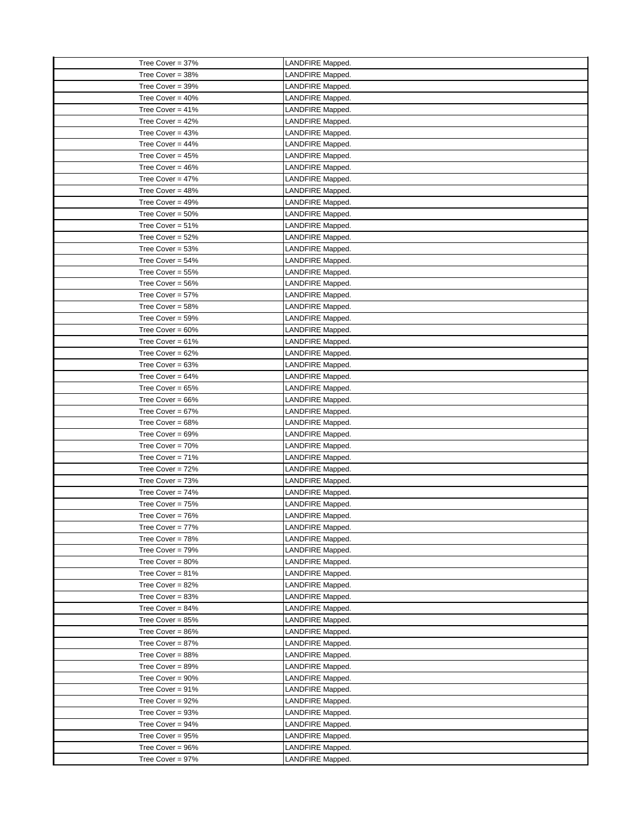| Tree Cover = 37%    | LANDFIRE Mapped. |
|---------------------|------------------|
| Tree Cover = 38%    | LANDFIRE Mapped. |
| Tree Cover = 39%    | LANDFIRE Mapped. |
| Tree Cover = $40\%$ | LANDFIRE Mapped. |
| Tree Cover = $41\%$ | LANDFIRE Mapped. |
| Tree Cover = $42%$  | LANDFIRE Mapped. |
| Tree Cover = $43%$  | LANDFIRE Mapped. |
| Tree Cover = $44\%$ | LANDFIRE Mapped. |
| Tree Cover = 45%    | LANDFIRE Mapped. |
| Tree Cover = $46%$  | LANDFIRE Mapped. |
| Tree Cover = $47%$  | LANDFIRE Mapped. |
| Tree Cover = $48%$  | LANDFIRE Mapped. |
| Tree Cover = $49%$  | LANDFIRE Mapped. |
| Tree Cover = $50\%$ | LANDFIRE Mapped. |
| Tree Cover = $51\%$ | LANDFIRE Mapped. |
| Tree Cover = $52\%$ | LANDFIRE Mapped. |
| Tree Cover = $53%$  | LANDFIRE Mapped. |
| Tree Cover = $54\%$ | LANDFIRE Mapped. |
| Tree Cover = $55%$  | LANDFIRE Mapped. |
| Tree Cover = 56%    | LANDFIRE Mapped. |
| Tree Cover = $57\%$ | LANDFIRE Mapped. |
| Tree Cover = $58%$  | LANDFIRE Mapped. |
| Tree Cover = $59\%$ | LANDFIRE Mapped. |
| Tree Cover = $60\%$ |                  |
| Tree Cover = $61\%$ | LANDFIRE Mapped. |
|                     | LANDFIRE Mapped. |
| Tree Cover = $62%$  | LANDFIRE Mapped. |
| Tree Cover = $63%$  | LANDFIRE Mapped. |
| Tree Cover = $64%$  | LANDFIRE Mapped. |
| Tree Cover = $65%$  | LANDFIRE Mapped. |
| Tree Cover = $66%$  | LANDFIRE Mapped. |
| Tree Cover = $67%$  | LANDFIRE Mapped. |
| Tree Cover = $68%$  | LANDFIRE Mapped. |
| Tree Cover = $69\%$ | LANDFIRE Mapped. |
| Tree Cover = 70%    | LANDFIRE Mapped. |
| Tree Cover = $71\%$ | LANDFIRE Mapped. |
| Tree Cover = $72%$  | LANDFIRE Mapped. |
| Tree Cover = $73%$  | LANDFIRE Mapped. |
| Tree Cover = $74%$  | LANDFIRE Mapped. |
| Tree Cover = $75%$  | LANDFIRE Mapped. |
| Tree Cover = $76%$  | LANDFIRE Mapped. |
| Tree Cover = 77%    | LANDFIRE Mapped. |
| Tree Cover = 78%    | LANDFIRE Mapped. |
| Tree Cover = 79%    | LANDFIRE Mapped. |
| Tree Cover = $80\%$ | LANDFIRE Mapped. |
| Tree Cover = $81\%$ | LANDFIRE Mapped. |
| Tree Cover = $82\%$ | LANDFIRE Mapped. |
| Tree Cover = $83%$  | LANDFIRE Mapped. |
| Tree Cover = $84\%$ | LANDFIRE Mapped. |
| Tree Cover = $85%$  | LANDFIRE Mapped. |
| Tree Cover = $86%$  | LANDFIRE Mapped. |
| Tree Cover = 87%    | LANDFIRE Mapped. |
| Tree Cover = $88%$  | LANDFIRE Mapped. |
| Tree Cover = $89%$  | LANDFIRE Mapped. |
| Tree Cover = $90\%$ | LANDFIRE Mapped. |
| Tree Cover = $91\%$ | LANDFIRE Mapped. |
| Tree Cover = 92%    | LANDFIRE Mapped. |
| Tree Cover = 93%    | LANDFIRE Mapped. |
| Tree Cover = $94\%$ | LANDFIRE Mapped. |
| Tree Cover = $95%$  | LANDFIRE Mapped. |
| Tree Cover = 96%    | LANDFIRE Mapped. |
| Tree Cover = 97%    | LANDFIRE Mapped. |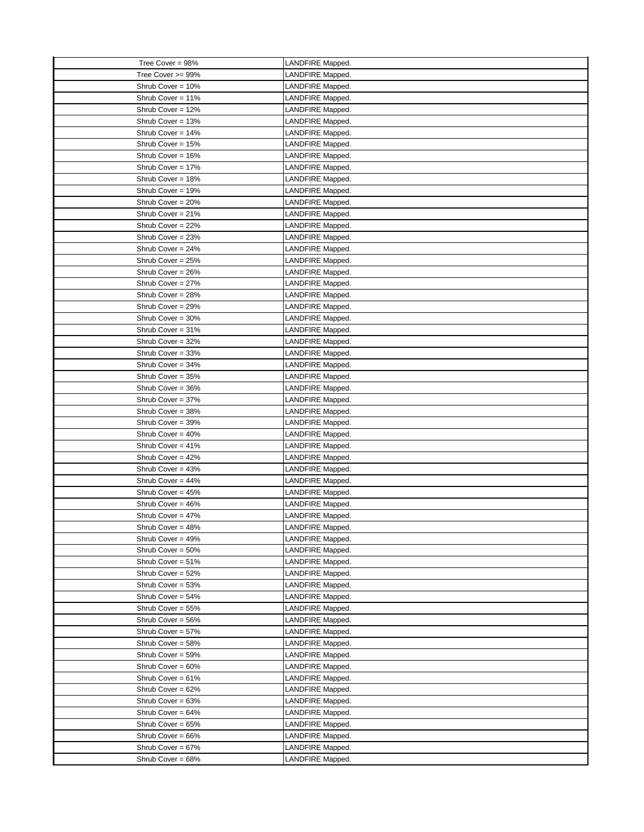| Tree Cover = 98%     | LANDFIRE Mapped. |
|----------------------|------------------|
| Tree Cover >= 99%    | LANDFIRE Mapped. |
| Shrub Cover = 10%    | LANDFIRE Mapped. |
| Shrub Cover = 11%    | LANDFIRE Mapped. |
| Shrub Cover = 12%    | LANDFIRE Mapped. |
| Shrub Cover = 13%    | LANDFIRE Mapped. |
| Shrub Cover = 14%    | LANDFIRE Mapped. |
| Shrub Cover = 15%    | LANDFIRE Mapped. |
| Shrub Cover = 16%    | LANDFIRE Mapped. |
| Shrub Cover = 17%    | LANDFIRE Mapped. |
| Shrub Cover = 18%    | LANDFIRE Mapped. |
| Shrub Cover = 19%    | LANDFIRE Mapped. |
| Shrub Cover = 20%    | LANDFIRE Mapped. |
| Shrub Cover = 21%    | LANDFIRE Mapped. |
| Shrub Cover = 22%    | LANDFIRE Mapped. |
| Shrub Cover = 23%    | LANDFIRE Mapped. |
| Shrub Cover = 24%    | LANDFIRE Mapped. |
| Shrub Cover = 25%    | LANDFIRE Mapped. |
| Shrub Cover = 26%    | LANDFIRE Mapped. |
| Shrub Cover = 27%    | LANDFIRE Mapped. |
| Shrub Cover = 28%    | LANDFIRE Mapped. |
| Shrub Cover = 29%    | LANDFIRE Mapped. |
| Shrub Cover = 30%    | LANDFIRE Mapped. |
| Shrub Cover = 31%    | LANDFIRE Mapped. |
| Shrub Cover = 32%    | LANDFIRE Mapped. |
| Shrub Cover = 33%    | LANDFIRE Mapped. |
| Shrub Cover = 34%    | LANDFIRE Mapped. |
| Shrub Cover = 35%    | LANDFIRE Mapped. |
| Shrub Cover = 36%    | LANDFIRE Mapped. |
| Shrub Cover = 37%    | LANDFIRE Mapped. |
| Shrub Cover = 38%    | LANDFIRE Mapped. |
| Shrub Cover = 39%    | LANDFIRE Mapped. |
| Shrub Cover = 40%    | LANDFIRE Mapped. |
| Shrub Cover = $41\%$ | LANDFIRE Mapped. |
| Shrub Cover = 42%    | LANDFIRE Mapped. |
| Shrub Cover = 43%    | LANDFIRE Mapped. |
| Shrub Cover = $44\%$ | LANDFIRE Mapped. |
| Shrub Cover = 45%    | LANDFIRE Mapped. |
| Shrub Cover = 46%    | LANDFIRE Mapped. |
| Shrub Cover = 47%    | LANDFIRE Mapped. |
| Shrub Cover = 48%    | LANDFIRE Mapped. |
| Shrub Cover = 49%    | LANDFIRE Mapped. |
| Shrub Cover = 50%    | LANDFIRE Mapped. |
| Shrub Cover = 51%    | LANDFIRE Mapped. |
| Shrub Cover = 52%    | LANDFIRE Mapped. |
| Shrub Cover = 53%    | LANDFIRE Mapped. |
| Shrub Cover = 54%    | LANDFIRE Mapped. |
| Shrub Cover = 55%    | LANDFIRE Mapped. |
| Shrub Cover = 56%    | LANDFIRE Mapped. |
| Shrub Cover = 57%    | LANDFIRE Mapped. |
| Shrub Cover = 58%    | LANDFIRE Mapped. |
| Shrub Cover = 59%    | LANDFIRE Mapped. |
| Shrub Cover = 60%    | LANDFIRE Mapped. |
| Shrub Cover = $61\%$ | LANDFIRE Mapped. |
| Shrub Cover = 62%    | LANDFIRE Mapped. |
| Shrub Cover = 63%    | LANDFIRE Mapped. |
| Shrub Cover = 64%    | LANDFIRE Mapped. |
| Shrub Cover = 65%    | LANDFIRE Mapped. |
| Shrub Cover = 66%    | LANDFIRE Mapped. |
| Shrub Cover = 67%    | LANDFIRE Mapped. |
| Shrub Cover = 68%    | LANDFIRE Mapped. |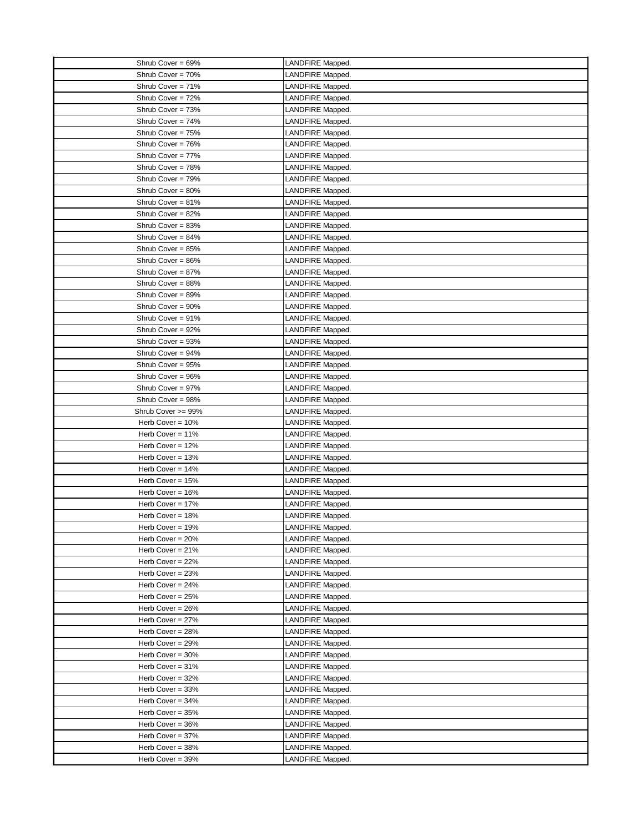| Shrub Cover = 69%   | LANDFIRE Mapped. |
|---------------------|------------------|
| Shrub Cover = 70%   | LANDFIRE Mapped. |
| Shrub Cover = 71%   | LANDFIRE Mapped. |
| Shrub Cover = 72%   | LANDFIRE Mapped. |
| Shrub Cover = 73%   | LANDFIRE Mapped. |
| Shrub Cover = 74%   | LANDFIRE Mapped. |
| Shrub Cover = 75%   | LANDFIRE Mapped. |
| Shrub Cover = 76%   | LANDFIRE Mapped. |
| Shrub Cover = 77%   | LANDFIRE Mapped. |
| Shrub Cover = 78%   | LANDFIRE Mapped. |
| Shrub Cover = 79%   | LANDFIRE Mapped. |
| Shrub Cover = 80%   | LANDFIRE Mapped. |
| Shrub Cover = 81%   | LANDFIRE Mapped. |
| Shrub Cover = 82%   | LANDFIRE Mapped. |
| Shrub Cover = 83%   | LANDFIRE Mapped. |
| Shrub Cover = 84%   | LANDFIRE Mapped. |
| Shrub Cover = 85%   | LANDFIRE Mapped. |
| Shrub Cover = 86%   | LANDFIRE Mapped. |
| Shrub Cover = 87%   |                  |
| Shrub Cover = 88%   | LANDFIRE Mapped. |
|                     | LANDFIRE Mapped. |
| Shrub Cover = 89%   | LANDFIRE Mapped. |
| Shrub Cover = 90%   | LANDFIRE Mapped. |
| Shrub Cover = 91%   | LANDFIRE Mapped. |
| Shrub Cover = 92%   | LANDFIRE Mapped. |
| Shrub Cover = 93%   | LANDFIRE Mapped. |
| Shrub Cover = 94%   | LANDFIRE Mapped. |
| Shrub Cover = 95%   | LANDFIRE Mapped. |
| Shrub Cover = 96%   | LANDFIRE Mapped. |
| Shrub Cover = 97%   | LANDFIRE Mapped. |
| Shrub Cover = 98%   | LANDFIRE Mapped. |
| Shrub Cover >= 99%  | LANDFIRE Mapped. |
| Herb Cover = 10%    | LANDFIRE Mapped. |
| Herb Cover = 11%    | LANDFIRE Mapped. |
| Herb Cover = 12%    | LANDFIRE Mapped. |
| Herb Cover = $13%$  | LANDFIRE Mapped. |
| Herb Cover = $14%$  | LANDFIRE Mapped. |
| Herb Cover = 15%    | LANDFIRE Mapped. |
| Herb Cover = 16%    | LANDFIRE Mapped. |
| Herb Cover = 17%    | LANDFIRE Mapped. |
| Herb Cover = 18%    | LANDFIRE Mapped. |
| Herb Cover = 19%    | LANDFIRE Mapped. |
| Herb Cover = $20%$  | LANDFIRE Mapped. |
| Herb Cover = $21\%$ | LANDFIRE Mapped. |
| Herb Cover = 22%    | LANDFIRE Mapped. |
| Herb Cover = 23%    | LANDFIRE Mapped. |
| Herb Cover = $24%$  | LANDFIRE Mapped. |
| Herb Cover = $25%$  | LANDFIRE Mapped. |
| Herb Cover = 26%    | LANDFIRE Mapped. |
| Herb Cover = 27%    | LANDFIRE Mapped. |
| Herb Cover = 28%    | LANDFIRE Mapped. |
| Herb Cover = 29%    | LANDFIRE Mapped. |
| Herb Cover = $30\%$ | LANDFIRE Mapped. |
| Herb Cover = 31%    | LANDFIRE Mapped. |
| Herb Cover = 32%    | LANDFIRE Mapped. |
| Herb Cover = 33%    | LANDFIRE Mapped. |
| Herb Cover = 34%    | LANDFIRE Mapped. |
| Herb Cover = 35%    | LANDFIRE Mapped. |
| Herb Cover = 36%    | LANDFIRE Mapped. |
| Herb Cover = 37%    | LANDFIRE Mapped. |
| Herb Cover = 38%    | LANDFIRE Mapped. |
| Herb Cover = 39%    | LANDFIRE Mapped. |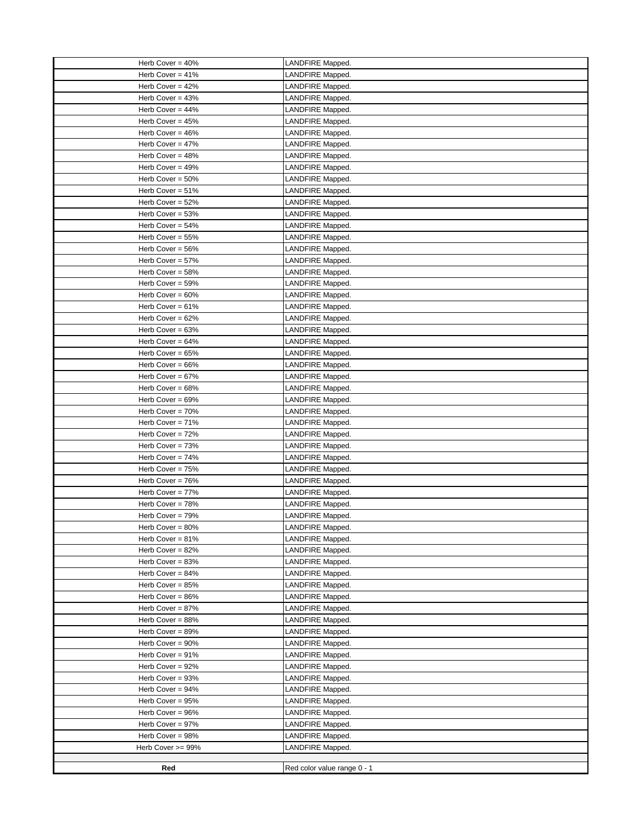| Herb Cover = 40%    | LANDFIRE Mapped.                     |
|---------------------|--------------------------------------|
| Herb Cover = $41\%$ | LANDFIRE Mapped.                     |
| Herb Cover = $42%$  | LANDFIRE Mapped.                     |
| Herb Cover = $43%$  | LANDFIRE Mapped.                     |
| Herb Cover = $44%$  | LANDFIRE Mapped.                     |
| Herb Cover = 45%    | LANDFIRE Mapped.                     |
| Herb Cover = $46%$  | LANDFIRE Mapped.                     |
| Herb Cover = 47%    | LANDFIRE Mapped.                     |
| Herb Cover = $48%$  | LANDFIRE Mapped.                     |
| Herb Cover = $49%$  | LANDFIRE Mapped.                     |
| Herb Cover = $50\%$ | LANDFIRE Mapped.                     |
| Herb Cover = $51\%$ | LANDFIRE Mapped.                     |
| Herb Cover = 52%    | LANDFIRE Mapped.                     |
| Herb Cover = 53%    | LANDFIRE Mapped.                     |
| Herb Cover = $54%$  | LANDFIRE Mapped.                     |
| Herb Cover = 55%    | LANDFIRE Mapped.                     |
| Herb Cover = 56%    | LANDFIRE Mapped.                     |
| Herb Cover = 57%    | LANDFIRE Mapped.                     |
| Herb Cover = 58%    | LANDFIRE Mapped.                     |
| Herb Cover = 59%    | LANDFIRE Mapped.                     |
| Herb Cover = $60\%$ | LANDFIRE Mapped.                     |
| Herb Cover = $61%$  | LANDFIRE Mapped.                     |
| Herb Cover = $62%$  | LANDFIRE Mapped.                     |
| Herb Cover = $63%$  | LANDFIRE Mapped.                     |
| Herb Cover = $64%$  | LANDFIRE Mapped.                     |
| Herb Cover = 65%    | LANDFIRE Mapped.                     |
| Herb Cover = 66%    | LANDFIRE Mapped.                     |
| Herb Cover = $67%$  | LANDFIRE Mapped.                     |
| Herb Cover = 68%    | LANDFIRE Mapped.                     |
| Herb Cover = $69%$  | LANDFIRE Mapped.                     |
| Herb Cover = $70%$  | LANDFIRE Mapped.                     |
| Herb Cover = 71%    | LANDFIRE Mapped.                     |
| Herb Cover = 72%    | LANDFIRE Mapped.                     |
| Herb Cover = $73%$  | LANDFIRE Mapped.                     |
| Herb Cover = $74%$  | LANDFIRE Mapped.                     |
| Herb Cover = 75%    | LANDFIRE Mapped.                     |
| Herb Cover = $76%$  | LANDFIRE Mapped.                     |
| Herb Cover = 77%    | LANDFIRE Mapped.                     |
| Herb Cover = 78%    | LANDFIRE Mapped.                     |
| Herb Cover = 79%    | LANDFIRE Mapped.                     |
| Herb Cover = 80%    | LANDFIRE Mapped.                     |
| Herb Cover = 81%    | LANDFIRE Mapped.                     |
| Herb Cover = 82%    | LANDFIRE Mapped.                     |
| Herb Cover = $83%$  | LANDFIRE Mapped.                     |
| Herb Cover = 84%    | LANDFIRE Mapped.                     |
| Herb Cover = 85%    | LANDFIRE Mapped.                     |
| Herb Cover = 86%    | LANDFIRE Mapped.                     |
| Herb Cover = 87%    | LANDFIRE Mapped.                     |
| Herb Cover = 88%    | LANDFIRE Mapped.                     |
| Herb Cover = 89%    | LANDFIRE Mapped.                     |
| Herb Cover = 90%    | LANDFIRE Mapped.                     |
| Herb Cover = 91%    | LANDFIRE Mapped.                     |
| Herb Cover = 92%    |                                      |
| Herb Cover = 93%    | LANDFIRE Mapped.<br>LANDFIRE Mapped. |
| Herb Cover = 94%    | LANDFIRE Mapped.                     |
| Herb Cover = 95%    |                                      |
| Herb Cover = 96%    | LANDFIRE Mapped.                     |
| Herb Cover = 97%    | LANDFIRE Mapped.<br>LANDFIRE Mapped. |
|                     |                                      |
| Herb Cover = 98%    | LANDFIRE Mapped.                     |
| Herb Cover >= 99%   | LANDFIRE Mapped.                     |
| Red                 | Red color value range 0 - 1          |
|                     |                                      |